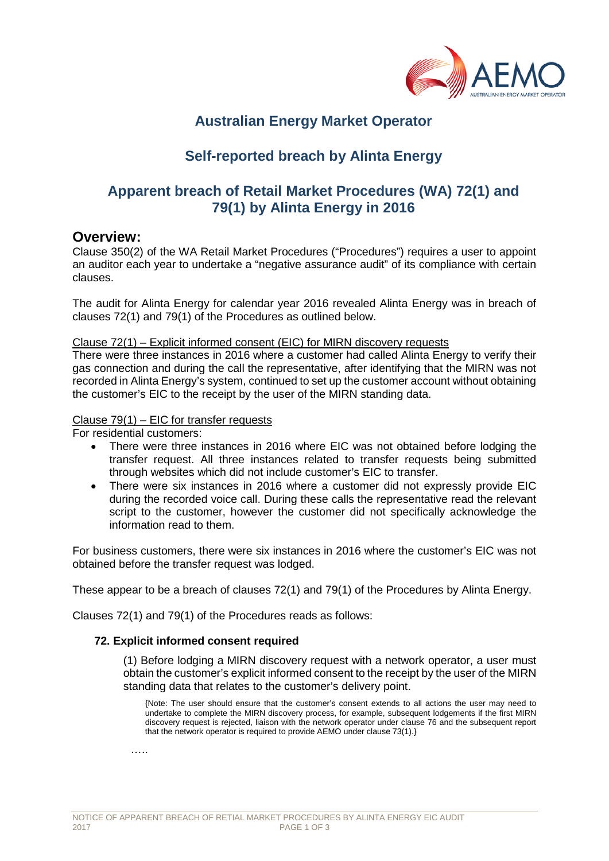

# **Australian Energy Market Operator**

# **Self-reported breach by Alinta Energy**

## **Apparent breach of Retail Market Procedures (WA) 72(1) and 79(1) by Alinta Energy in 2016**

### **Overview:**

Clause 350(2) of the WA Retail Market Procedures ("Procedures") requires a user to appoint an auditor each year to undertake a "negative assurance audit" of its compliance with certain clauses.

The audit for Alinta Energy for calendar year 2016 revealed Alinta Energy was in breach of clauses 72(1) and 79(1) of the Procedures as outlined below.

#### Clause 72(1) – Explicit informed consent (EIC) for MIRN discovery requests

There were three instances in 2016 where a customer had called Alinta Energy to verify their gas connection and during the call the representative, after identifying that the MIRN was not recorded in Alinta Energy's system, continued to set up the customer account without obtaining the customer's EIC to the receipt by the user of the MIRN standing data.

#### Clause 79(1) – EIC for transfer requests

For residential customers:

- There were three instances in 2016 where EIC was not obtained before lodging the transfer request. All three instances related to transfer requests being submitted through websites which did not include customer's EIC to transfer.
- There were six instances in 2016 where a customer did not expressly provide EIC during the recorded voice call. During these calls the representative read the relevant script to the customer, however the customer did not specifically acknowledge the information read to them.

For business customers, there were six instances in 2016 where the customer's EIC was not obtained before the transfer request was lodged.

These appear to be a breach of clauses 72(1) and 79(1) of the Procedures by Alinta Energy.

Clauses 72(1) and 79(1) of the Procedures reads as follows:

#### **72. Explicit informed consent required**

(1) Before lodging a MIRN discovery request with a network operator, a user must obtain the customer's explicit informed consent to the receipt by the user of the MIRN standing data that relates to the customer's delivery point.

{Note: The user should ensure that the customer's consent extends to all actions the user may need to undertake to complete the MIRN discovery process, for example, subsequent lodgements if the first MIRN discovery request is rejected, liaison with the network operator under clause 76 and the subsequent report that the network operator is required to provide AEMO under clause 73(1).}

……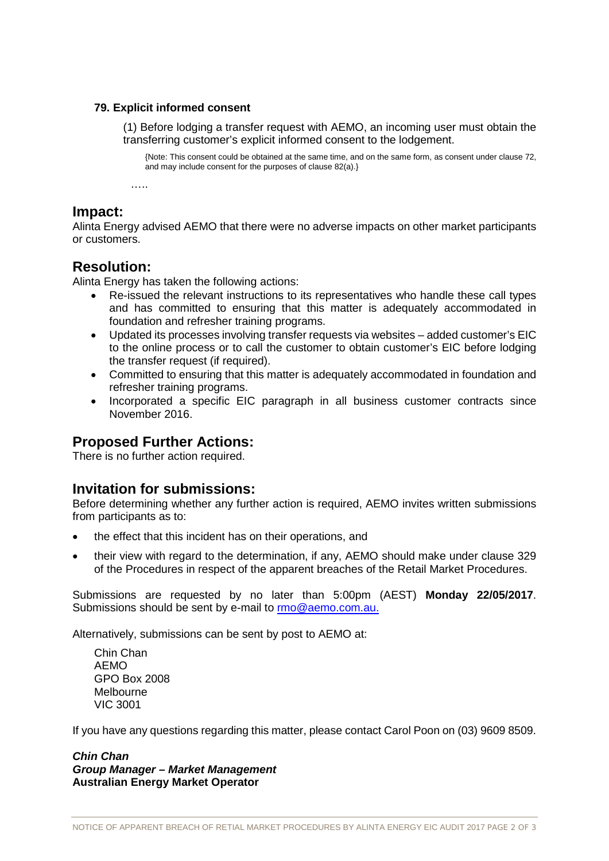#### **79. Explicit informed consent**

(1) Before lodging a transfer request with AEMO, an incoming user must obtain the transferring customer's explicit informed consent to the lodgement.

{Note: This consent could be obtained at the same time, and on the same form, as consent under clause 72, and may include consent for the purposes of clause 82(a).}

……

### **Impact:**

Alinta Energy advised AEMO that there were no adverse impacts on other market participants or customers.

## **Resolution:**

Alinta Energy has taken the following actions:

- Re-issued the relevant instructions to its representatives who handle these call types and has committed to ensuring that this matter is adequately accommodated in foundation and refresher training programs.
- Updated its processes involving transfer requests via websites added customer's EIC to the online process or to call the customer to obtain customer's EIC before lodging the transfer request (if required).
- Committed to ensuring that this matter is adequately accommodated in foundation and refresher training programs.
- Incorporated a specific EIC paragraph in all business customer contracts since November 2016.

## **Proposed Further Actions:**

There is no further action required.

## **Invitation for submissions:**

Before determining whether any further action is required, AEMO invites written submissions from participants as to:

- the effect that this incident has on their operations, and
- their view with regard to the determination, if any, AEMO should make under clause 329 of the Procedures in respect of the apparent breaches of the Retail Market Procedures.

Submissions are requested by no later than 5:00pm (AEST) **Monday 22/05/2017**. Submissions should be sent by e-mail to [rmo@aemo.com.au.](mailto:rmo@aemo.com.au)

Alternatively, submissions can be sent by post to AEMO at:

Chin Chan AEMO GPO Box 2008 Melbourne VIC 3001

If you have any questions regarding this matter, please contact Carol Poon on (03) 9609 8509.

*Chin Chan Group Manager – Market Management* **Australian Energy Market Operator**